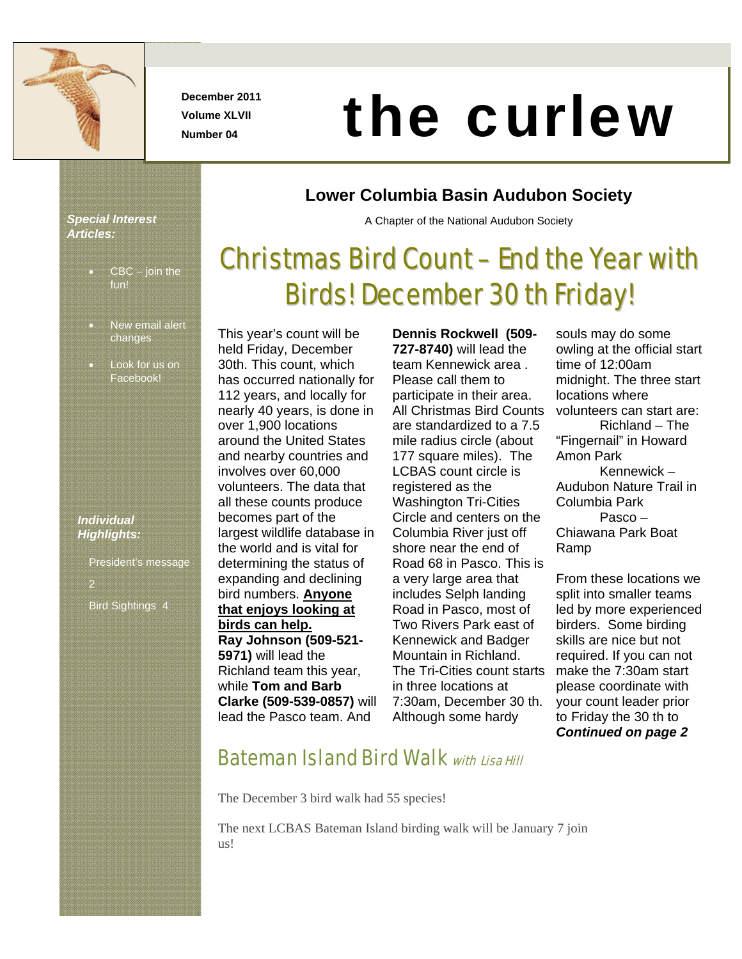

**December 2011 Volume XLVII** 

# Number 04 **the curlew of the curlew**

#### *Special Interest Articles:*

- $CBC join$  the fun!
- New email alert changes
- Look for us on Facebook!

#### *Individual Highlights:*

President's message 2 Bird Sightings 4

#### **Lower Columbia Basin Audubon Society**

A Chapter of the National Audubon Society

# Christmas Bird Count – End the Year with Birds! December 30 th Friday!

This year's count will be held Friday, December 30th. This count, which has occurred nationally for 112 years, and locally for nearly 40 years, is done in over 1,900 locations around the United States and nearby countries and involves over 60,000 volunteers. The data that all these counts produce becomes part of the largest wildlife database in the world and is vital for determining the status of expanding and declining bird numbers. **Anyone that enjoys looking at birds can help. Ray Johnson (509-521- 5971)** will lead the Richland team this year, while **Tom and Barb Clarke (509-539-0857)** will lead the Pasco team. And

**Dennis Rockwell (509- 727-8740)** will lead the team Kennewick area . Please call them to participate in their area. All Christmas Bird Counts are standardized to a 7.5 mile radius circle (about 177 square miles). The LCBAS count circle is registered as the Washington Tri-Cities Circle and centers on the Columbia River just off shore near the end of Road 68 in Pasco. This is a very large area that includes Selph landing Road in Pasco, most of Two Rivers Park east of Kennewick and Badger Mountain in Richland. The Tri-Cities count starts in three locations at 7:30am, December 30 th. Although some hardy

souls may do some owling at the official start time of 12:00am midnight. The three start locations where volunteers can start are: Richland – The "Fingernail" in Howard Amon Park Kennewick – Audubon Nature Trail in Columbia Park Pasco – Chiawana Park Boat Ramp

From these locations we split into smaller teams led by more experienced birders. Some birding skills are nice but not required. If you can not make the 7:30am start please coordinate with your count leader prior to Friday the 30 th to *Continued on page 2* 

## **Bateman Island Bird Walk with Lisa Hill**

The December 3 bird walk had 55 species!

The next LCBAS Bateman Island birding walk will be January 7 join us!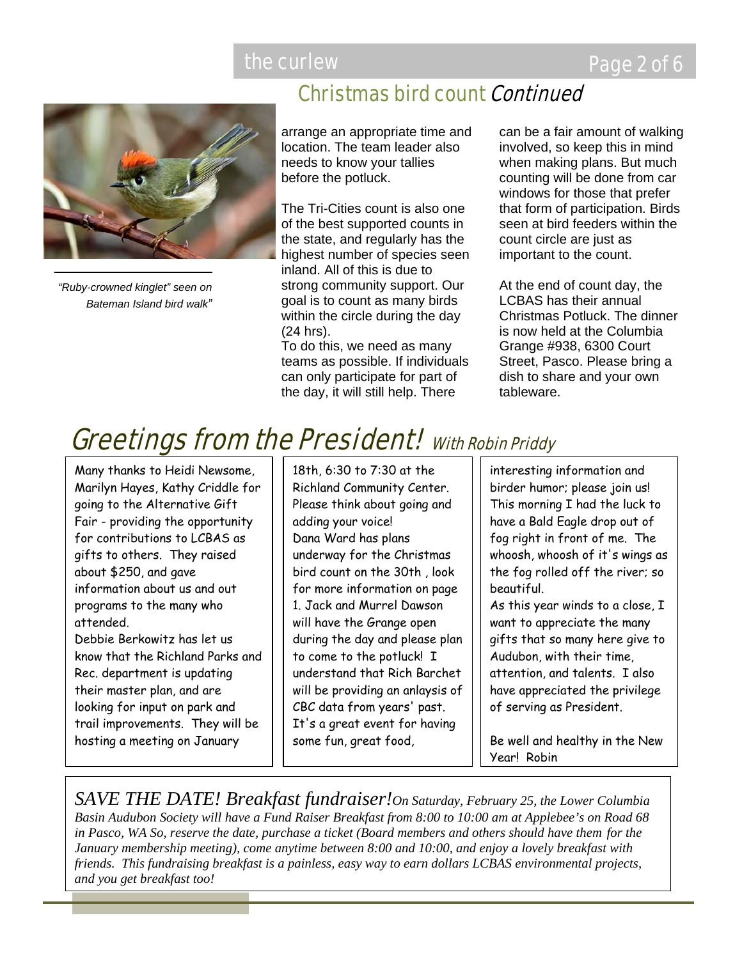

*"Ruby-crowned kinglet" seen on Bateman Island bird walk"*

# Christmas bird count Continued

arrange an appropriate time and location. The team leader also needs to know your tallies before the potluck.

The Tri-Cities count is also one of the best supported counts in the state, and regularly has the highest number of species seen inland. All of this is due to strong community support. Our goal is to count as many birds within the circle during the day (24 hrs).

To do this, we need as many teams as possible. If individuals can only participate for part of the day, it will still help. There

can be a fair amount of walking involved, so keep this in mind when making plans. But much counting will be done from car windows for those that prefer that form of participation. Birds seen at bird feeders within the count circle are just as important to the count.

At the end of count day, the LCBAS has their annual Christmas Potluck. The dinner is now held at the Columbia Grange #938, 6300 Court Street, Pasco. Please bring a dish to share and your own tableware.

# **Greetings from the President!** With Robin Priddy

Many thanks to Heidi Newsome, Marilyn Hayes, Kathy Criddle for going to the Alternative Gift Fair - providing the opportunity for contributions to LCBAS as gifts to others. They raised about \$250, and gave information about us and out programs to the many who attended. Debbie Berkowitz has let us

know that the Richland Parks and Rec. department is updating their master plan, and are looking for input on park and trail improvements. They will be hosting a meeting on January

18th, 6:30 to 7:30 at the Richland Community Center. Please think about going and adding your voice! Dana Ward has plans underway for the Christmas bird count on the 30th , look for more information on page 1. Jack and Murrel Dawson will have the Grange open during the day and please plan to come to the potluck! I understand that Rich Barchet will be providing an anlaysis of CBC data from years' past. It's a great event for having some fun, great food,

interesting information and birder humor; please join us! This morning I had the luck to have a Bald Eagle drop out of fog right in front of me. The whoosh, whoosh of it's wings as the fog rolled off the river; so beautiful.

As this year winds to a close, I want to appreciate the many gifts that so many here give to Audubon, with their time, attention, and talents. I also have appreciated the privilege of serving as President.

Be well and healthy in the New Year! Robin

*SAVE THE DATE! Breakfast fundraiser!On Saturday, February 25, the Lower Columbia Basin Audubon Society will have a Fund Raiser Breakfast from 8:00 to 10:00 am at Applebee's on Road 68 in Pasco, WA So, reserve the date, purchase a ticket (Board members and others should have them for the January membership meeting), come anytime between 8:00 and 10:00, and enjoy a lovely breakfast with friends. This fundraising breakfast is a painless, easy way to earn dollars LCBAS environmental projects, and you get breakfast too!*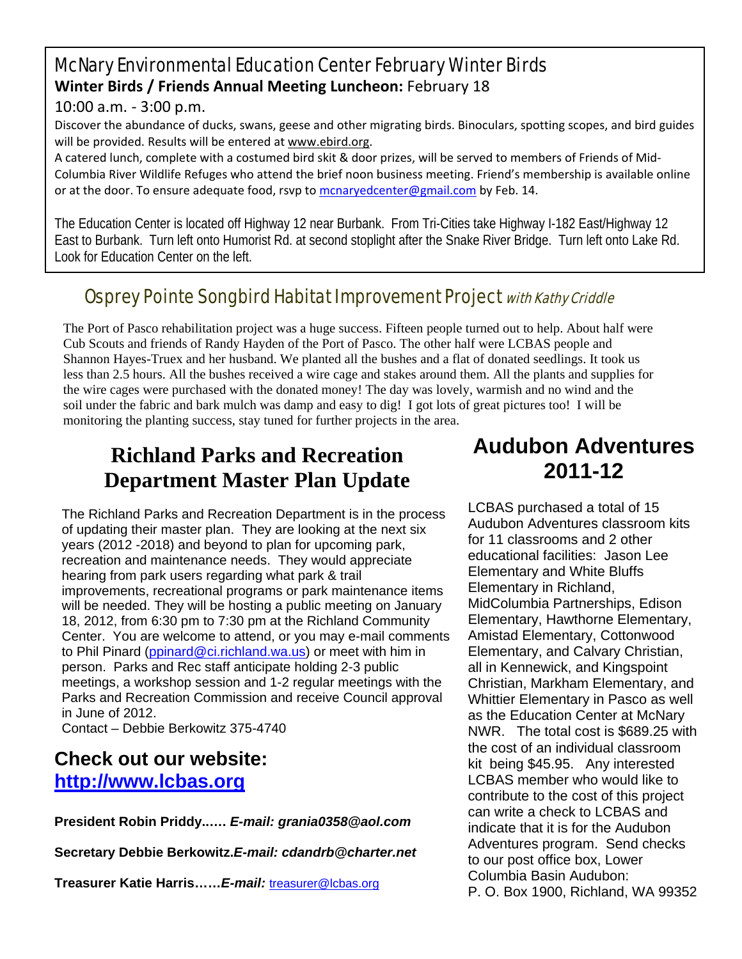#### McNary Environmental Education Center February Winter Birds **Winter Birds / Friends Annual Meeting Luncheon:** February 18

10:00 a.m. ‐ 3:00 p.m.

Discover the abundance of ducks, swans, geese and other migrating birds. Binoculars, spotting scopes, and bird guides will be provided. Results will be entered at www.ebird.org.

A catered lunch, complete with a costumed bird skit & door prizes, will be served to members of Friends of Mid‐ Columbia River Wildlife Refuges who attend the brief noon business meeting. Friend's membership is available online or at the door. To ensure adequate food, rsvp to mcnaryedcenter@gmail.com by Feb. 14.

The Education Center is located off Highway 12 near Burbank. From Tri-Cities take Highway I-182 East/Highway 12 East to Burbank. Turn left onto Humorist Rd. at second stoplight after the Snake River Bridge. Turn left onto Lake Rd. Look for Education Center on the left.

### Osprey Pointe Songbird Habitat Improvement Project with Kathy Criddle

The Port of Pasco rehabilitation project was a huge success. Fifteen people turned out to help. About half were Cub Scouts and friends of Randy Hayden of the Port of Pasco. The other half were LCBAS people and Shannon Hayes-Truex and her husband. We planted all the bushes and a flat of donated seedlings. It took us less than 2.5 hours. All the bushes received a wire cage and stakes around them. All the plants and supplies for the wire cages were purchased with the donated money! The day was lovely, warmish and no wind and the soil under the fabric and bark mulch was damp and easy to dig! I got lots of great pictures too! I will be monitoring the planting success, stay tuned for further projects in the area.

# **Richland Parks and Recreation Department Master Plan Update**

The Richland Parks and Recreation Department is in the process of updating their master plan. They are looking at the next six years (2012 -2018) and beyond to plan for upcoming park, recreation and maintenance needs. They would appreciate hearing from park users regarding what park & trail improvements, recreational programs or park maintenance items will be needed. They will be hosting a public meeting on January 18, 2012, from 6:30 pm to 7:30 pm at the Richland Community Center. You are welcome to attend, or you may e-mail comments to Phil Pinard (ppinard@ci.richland.wa.us) or meet with him in person. Parks and Rec staff anticipate holding 2-3 public meetings, a workshop session and 1-2 regular meetings with the Parks and Recreation Commission and receive Council approval in June of 2012.

Contact – Debbie Berkowitz 375-4740

#### **Check out our website: http://www.lcbas.org**

**President Robin Priddy..….** *E-mail: grania0358@aol.com* 

**Secretary Debbie Berkowitz.***E-mail: cdandrb@charter.net* 

**Treasurer Katie Harris……***E-mail:* treasurer@lcbas.org

# **Audubon Adventures 2011-12**

LCBAS purchased a total of 15 Audubon Adventures classroom kits for 11 classrooms and 2 other educational facilities: Jason Lee Elementary and White Bluffs Elementary in Richland, MidColumbia Partnerships, Edison Elementary, Hawthorne Elementary, Amistad Elementary, Cottonwood Elementary, and Calvary Christian, all in Kennewick, and Kingspoint Christian, Markham Elementary, and Whittier Elementary in Pasco as well as the Education Center at McNary NWR. The total cost is \$689.25 with the cost of an individual classroom kit being \$45.95. Any interested LCBAS member who would like to contribute to the cost of this project can write a check to LCBAS and indicate that it is for the Audubon Adventures program. Send checks to our post office box, Lower Columbia Basin Audubon: P. O. Box 1900, Richland, WA 99352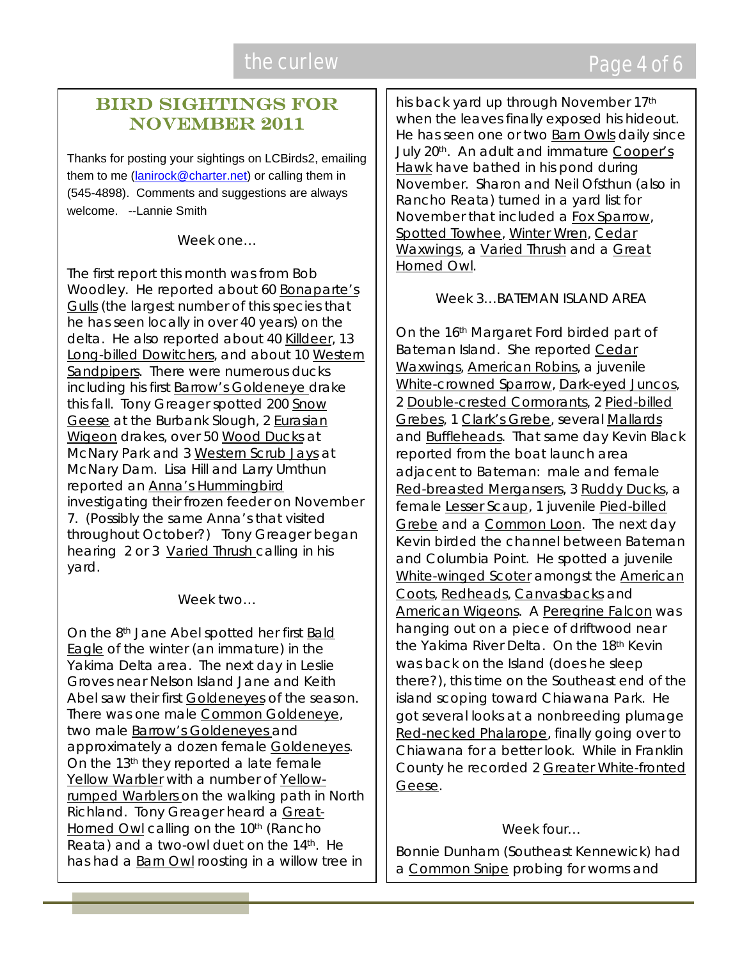# the curlew **EXACTER** CONTEXT CONTEXT Page 4 of 6

#### Bird Sightings for November 2011

Thanks for posting your sightings on LCBirds2, emailing them to me (lanirock@charter.net) or calling them in (545-4898). Comments and suggestions are always welcome. --Lannie Smith

Week one

The first report this month was from Bob Woodley. He reported about 60 Bonaparte's Gulls (the largest number of this species that he has seen locally in over 40 years) on the delta. He also reported about 40 Killdeer, 13 Long-billed Dowitchers, and about 10 Western Sandpipers. There were numerous ducks including his first Barrow's Goldeneye drake this fall. Tony Greager spotted 200 Snow Geese at the Burbank Slough, 2 Eurasian Wigeon drakes, over 50 Wood Ducks at McNary Park and 3 Western Scrub Jays at McNary Dam. Lisa Hill and Larry Umthun reported an Anna's Hummingbird investigating their frozen feeder on November 7. (Possibly the same Anna's that visited throughout October?) Tony Greager began hearing 2 or 3 Varied Thrush calling in his yard.

Week two…

On the 8th Jane Abel spotted her first Bald Eagle of the winter (an immature) in the Yakima Delta area. The next day in Leslie Groves near Nelson Island Jane and Keith Abel saw their first Goldeneyes of the season. There was one male Common Goldeneye, two male Barrow's Goldeneyes and approximately a dozen female Goldeneyes. On the 13<sup>th</sup> they reported a late female Yellow Warbler with a number of Yellowrumped Warblers on the walking path in North Richland. Tony Greager heard a Great-Horned Owl calling on the 10<sup>th</sup> (Rancho Reata) and a two-owl duet on the  $14<sup>th</sup>$ . He has had a Barn Owl roosting in a willow tree in

his back yard up through November 17<sup>th</sup> when the leaves finally exposed his hideout. He has seen one or two Barn Owls daily since July 20<sup>th</sup>. An adult and immature Cooper's Hawk have bathed in his pond during November. Sharon and Neil Ofsthun (also in Rancho Reata) turned in a yard list for November that included a Fox Sparrow, Spotted Towhee, Winter Wren, Cedar Waxwings, a Varied Thrush and a Great Horned Owl.

Week 3. BATEMAN ISLAND AREA

On the 16th Margaret Ford birded part of Bateman Island. She reported Cedar Waxwings, American Robins, a juvenile White-crowned Sparrow, Dark-eyed Juncos, 2 Double-crested Cormorants, 2 Pied-billed Grebes, 1 Clark's Grebe, several Mallards and Buffleheads. That same day Kevin Black reported from the boat launch area adjacent to Bateman: male and female Red-breasted Mergansers, 3 Ruddy Ducks, a female Lesser Scaup, 1 juvenile Pied-billed Grebe and a Common Loon. The next day Kevin birded the channel between Bateman and Columbia Point. He spotted a juvenile White-winged Scoter amongst the American Coots, Redheads, Canvasbacks and American Wigeons. A Peregrine Falcon was hanging out on a piece of driftwood near the Yakima River Delta. On the 18<sup>th</sup> Kevin was back on the Island (does he sleep there?), this time on the Southeast end of the island scoping toward Chiawana Park. He got several looks at a nonbreeding plumage Red-necked Phalarope, finally going over to Chiawana for a better look. While in Franklin County he recorded 2 Greater White-fronted Geese.

Week four…

Bonnie Dunham (Southeast Kennewick) had a Common Snipe probing for worms and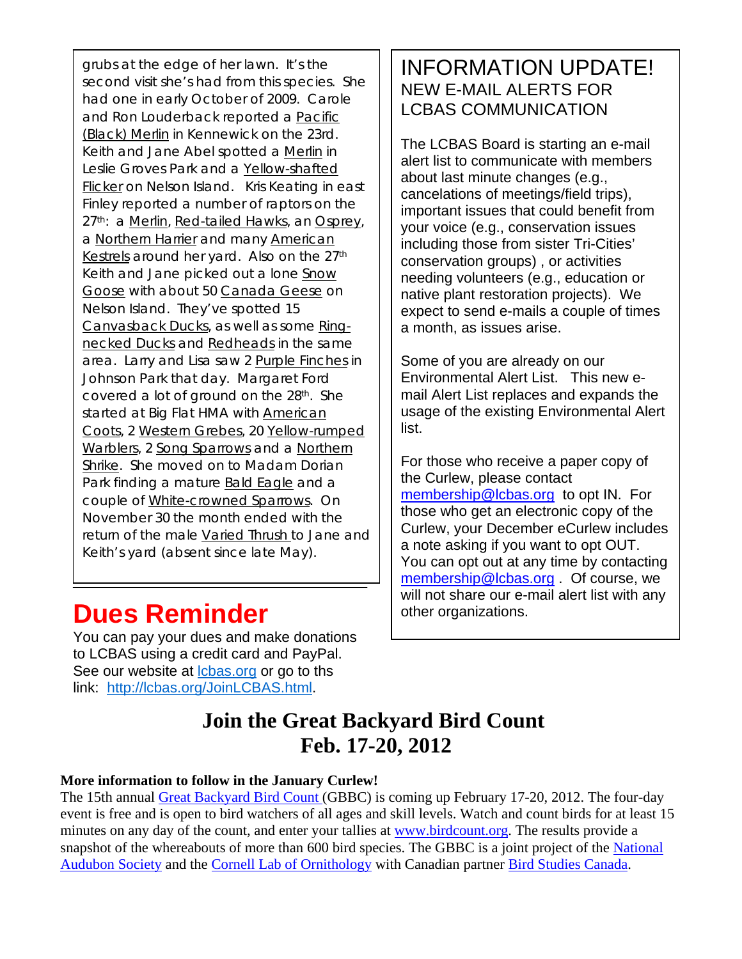grubs at the edge of her lawn. It's the second visit she's had from this species. She had one in early October of 2009. Carole and Ron Louderback reported a Pacific (Black) Merlin in Kennewick on the 23rd. Keith and Jane Abel spotted a Merlin in Leslie Groves Park and a Yellow-shafted Flicker on Nelson Island. Kris Keating in east Finley reported a number of raptors on the 27<sup>th</sup>: a Merlin, Red-tailed Hawks, an Osprey, a Northern Harrier and many American Kestrels around her yard. Also on the 27<sup>th</sup> Keith and Jane picked out a lone Snow Goose with about 50 Canada Geese on Nelson Island. They've spotted 15 Canvasback Ducks, as well as some Ringnecked Ducks and Redheads in the same area. Larry and Lisa saw 2 Purple Finches in Johnson Park that day. Margaret Ford covered a lot of ground on the 28th. She started at Big Flat HMA with **American** Coots, 2 Western Grebes, 20 Yellow-rumped Warblers, 2 Song Sparrows and a Northern Shrike. She moved on to Madam Dorian Park finding a mature **Bald Eagle** and a couple of White-crowned Sparrows. On November 30 the month ended with the return of the male Varied Thrush to Jane and Keith's yard (absent since late May).

# **Dues Reminder other organizations.**

You can pay your dues and make donations to LCBAS using a credit card and PayPal. See our website at *lcbas.org* or go to ths link: http://lcbas.org/JoinLCBAS.html.

#### INFORMATION UPDATE! NEW E-MAIL ALERTS FOR LCBAS COMMUNICATION

The LCBAS Board is starting an e-mail alert list to communicate with members about last minute changes (e.g., cancelations of meetings/field trips), important issues that could benefit from your voice (e.g., conservation issues including those from sister Tri-Cities' conservation groups) , or activities needing volunteers (e.g., education or native plant restoration projects). We expect to send e-mails a couple of times a month, as issues arise.

Some of you are already on our Environmental Alert List. This new email Alert List replaces and expands the usage of the existing Environmental Alert list.

For those who receive a paper copy of the Curlew, please contact membership@lcbas.org to opt IN. For those who get an electronic copy of the Curlew, your December eCurlew includes a note asking if you want to opt OUT. You can opt out at any time by contacting membership@lcbas.org . Of course, we will not share our e-mail alert list with any

# **Join the Great Backyard Bird Count Feb. 17-20, 2012**

#### **More information to follow in the January Curlew!**

The 15th annual Great Backyard Bird Count (GBBC) is coming up February 17-20, 2012. The four-day event is free and is open to bird watchers of all ages and skill levels. Watch and count birds for at least 15 minutes on any day of the count, and enter your tallies at www.birdcount.org. The results provide a snapshot of the whereabouts of more than 600 bird species. The GBBC is a joint project of the National Audubon Society and the Cornell Lab of Ornithology with Canadian partner Bird Studies Canada.